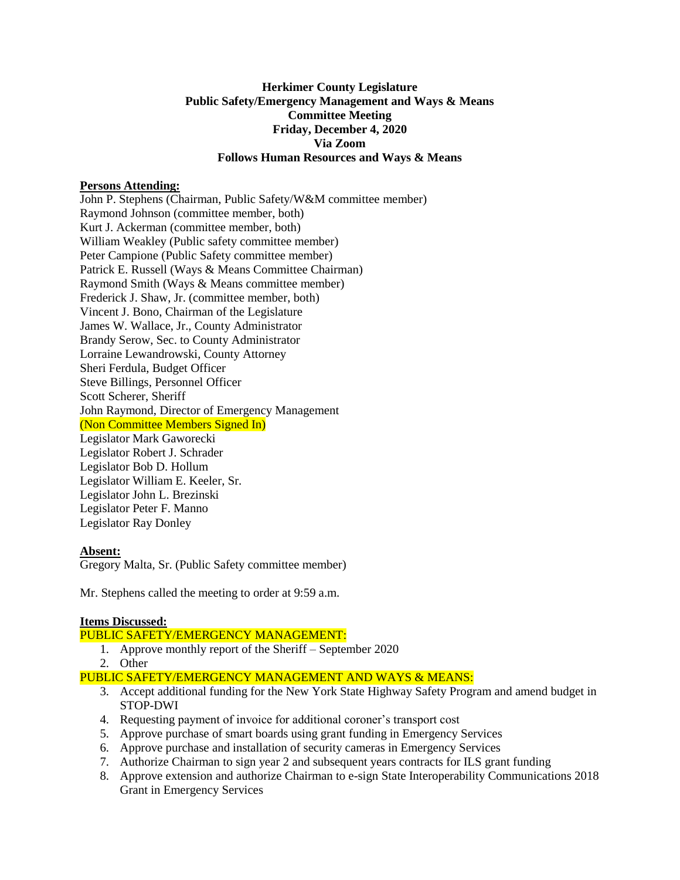# **Herkimer County Legislature Public Safety/Emergency Management and Ways & Means Committee Meeting Friday, December 4, 2020 Via Zoom Follows Human Resources and Ways & Means**

# **Persons Attending:**

John P. Stephens (Chairman, Public Safety/W&M committee member) Raymond Johnson (committee member, both) Kurt J. Ackerman (committee member, both) William Weakley (Public safety committee member) Peter Campione (Public Safety committee member) Patrick E. Russell (Ways & Means Committee Chairman) Raymond Smith (Ways & Means committee member) Frederick J. Shaw, Jr. (committee member, both) Vincent J. Bono, Chairman of the Legislature James W. Wallace, Jr., County Administrator Brandy Serow, Sec. to County Administrator Lorraine Lewandrowski, County Attorney Sheri Ferdula, Budget Officer Steve Billings, Personnel Officer Scott Scherer, Sheriff John Raymond, Director of Emergency Management (Non Committee Members Signed In) Legislator Mark Gaworecki Legislator Robert J. Schrader Legislator Bob D. Hollum Legislator William E. Keeler, Sr. Legislator John L. Brezinski Legislator Peter F. Manno Legislator Ray Donley

# **Absent:**

Gregory Malta, Sr. (Public Safety committee member)

Mr. Stephens called the meeting to order at 9:59 a.m.

#### **Items Discussed:**

# PUBLIC SAFETY/EMERGENCY MANAGEMENT:

- 1. Approve monthly report of the Sheriff September 2020
- 2. Other

PUBLIC SAFETY/EMERGENCY MANAGEMENT AND WAYS & MEANS:

- 3. Accept additional funding for the New York State Highway Safety Program and amend budget in STOP-DWI
- 4. Requesting payment of invoice for additional coroner's transport cost
- 5. Approve purchase of smart boards using grant funding in Emergency Services
- 6. Approve purchase and installation of security cameras in Emergency Services
- 7. Authorize Chairman to sign year 2 and subsequent years contracts for ILS grant funding
- 8. Approve extension and authorize Chairman to e-sign State Interoperability Communications 2018 Grant in Emergency Services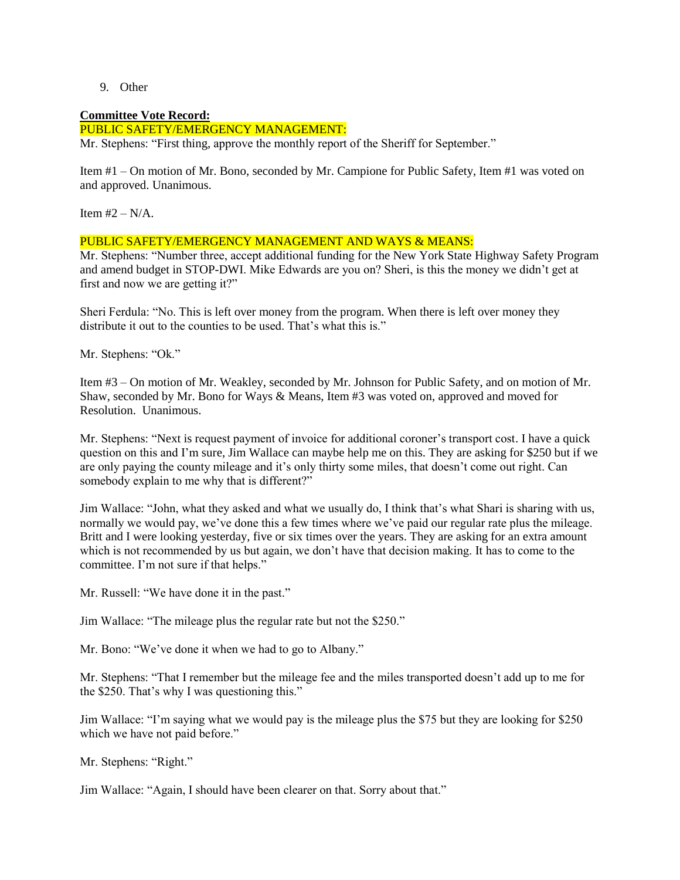9. Other

### **Committee Vote Record:**

PUBLIC SAFETY/EMERGENCY MANAGEMENT:

Mr. Stephens: "First thing, approve the monthly report of the Sheriff for September."

Item #1 – On motion of Mr. Bono, seconded by Mr. Campione for Public Safety, Item #1 was voted on and approved. Unanimous.

Item  $#2 - N/A$ .

### PUBLIC SAFETY/EMERGENCY MANAGEMENT AND WAYS & MEANS:

Mr. Stephens: "Number three, accept additional funding for the New York State Highway Safety Program and amend budget in STOP-DWI. Mike Edwards are you on? Sheri, is this the money we didn't get at first and now we are getting it?"

Sheri Ferdula: "No. This is left over money from the program. When there is left over money they distribute it out to the counties to be used. That's what this is."

Mr. Stephens: "Ok."

Item #3 – On motion of Mr. Weakley, seconded by Mr. Johnson for Public Safety, and on motion of Mr. Shaw, seconded by Mr. Bono for Ways & Means, Item #3 was voted on, approved and moved for Resolution. Unanimous.

Mr. Stephens: "Next is request payment of invoice for additional coroner's transport cost. I have a quick question on this and I'm sure, Jim Wallace can maybe help me on this. They are asking for \$250 but if we are only paying the county mileage and it's only thirty some miles, that doesn't come out right. Can somebody explain to me why that is different?"

Jim Wallace: "John, what they asked and what we usually do, I think that's what Shari is sharing with us, normally we would pay, we've done this a few times where we've paid our regular rate plus the mileage. Britt and I were looking yesterday, five or six times over the years. They are asking for an extra amount which is not recommended by us but again, we don't have that decision making. It has to come to the committee. I'm not sure if that helps."

Mr. Russell: "We have done it in the past."

Jim Wallace: "The mileage plus the regular rate but not the \$250."

Mr. Bono: "We've done it when we had to go to Albany."

Mr. Stephens: "That I remember but the mileage fee and the miles transported doesn't add up to me for the \$250. That's why I was questioning this."

Jim Wallace: "I'm saying what we would pay is the mileage plus the \$75 but they are looking for \$250 which we have not paid before."

Mr. Stephens: "Right."

Jim Wallace: "Again, I should have been clearer on that. Sorry about that."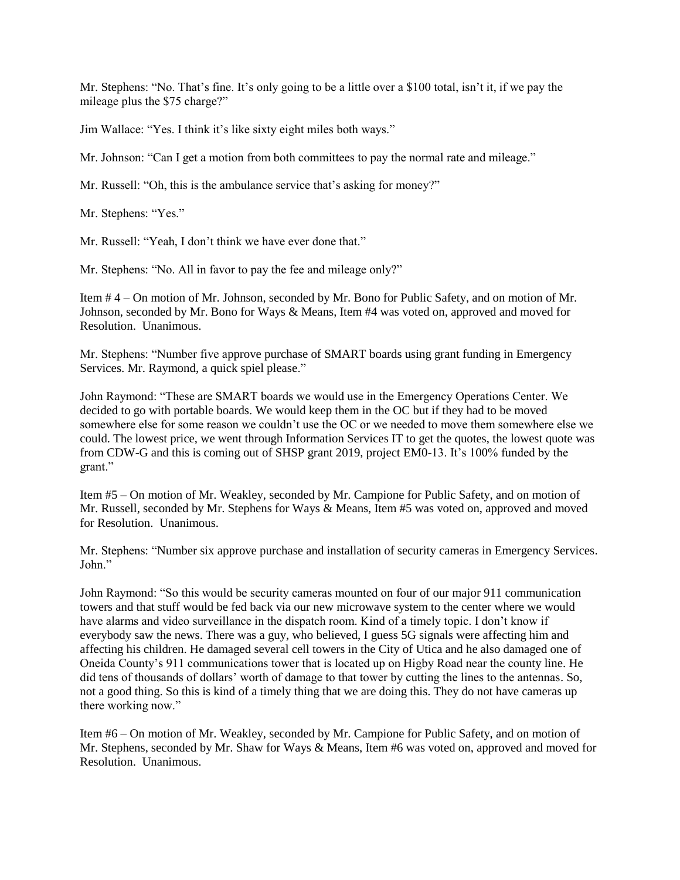Mr. Stephens: "No. That's fine. It's only going to be a little over a \$100 total, isn't it, if we pay the mileage plus the \$75 charge?"

Jim Wallace: "Yes. I think it's like sixty eight miles both ways."

Mr. Johnson: "Can I get a motion from both committees to pay the normal rate and mileage."

Mr. Russell: "Oh, this is the ambulance service that's asking for money?"

Mr. Stephens: "Yes."

Mr. Russell: "Yeah, I don't think we have ever done that."

Mr. Stephens: "No. All in favor to pay the fee and mileage only?"

Item # 4 – On motion of Mr. Johnson, seconded by Mr. Bono for Public Safety, and on motion of Mr. Johnson, seconded by Mr. Bono for Ways & Means, Item #4 was voted on, approved and moved for Resolution. Unanimous.

Mr. Stephens: "Number five approve purchase of SMART boards using grant funding in Emergency Services. Mr. Raymond, a quick spiel please."

John Raymond: "These are SMART boards we would use in the Emergency Operations Center. We decided to go with portable boards. We would keep them in the OC but if they had to be moved somewhere else for some reason we couldn't use the OC or we needed to move them somewhere else we could. The lowest price, we went through Information Services IT to get the quotes, the lowest quote was from CDW-G and this is coming out of SHSP grant 2019, project EM0-13. It's 100% funded by the grant."

Item #5 – On motion of Mr. Weakley, seconded by Mr. Campione for Public Safety, and on motion of Mr. Russell, seconded by Mr. Stephens for Ways & Means, Item #5 was voted on, approved and moved for Resolution. Unanimous.

Mr. Stephens: "Number six approve purchase and installation of security cameras in Emergency Services. John."

John Raymond: "So this would be security cameras mounted on four of our major 911 communication towers and that stuff would be fed back via our new microwave system to the center where we would have alarms and video surveillance in the dispatch room. Kind of a timely topic. I don't know if everybody saw the news. There was a guy, who believed, I guess 5G signals were affecting him and affecting his children. He damaged several cell towers in the City of Utica and he also damaged one of Oneida County's 911 communications tower that is located up on Higby Road near the county line. He did tens of thousands of dollars' worth of damage to that tower by cutting the lines to the antennas. So, not a good thing. So this is kind of a timely thing that we are doing this. They do not have cameras up there working now."

Item #6 – On motion of Mr. Weakley, seconded by Mr. Campione for Public Safety, and on motion of Mr. Stephens, seconded by Mr. Shaw for Ways & Means, Item #6 was voted on, approved and moved for Resolution. Unanimous.